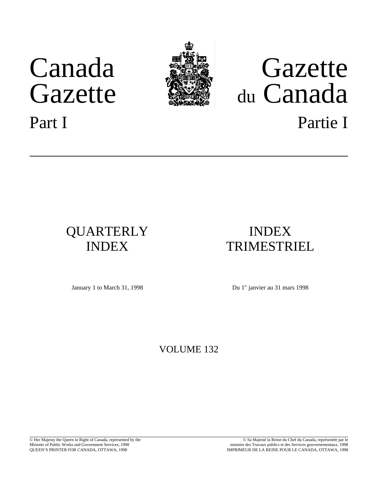# Canada Gazette



# Gazette du Canada Part I Partie I

## QUARTERLY INDEX

## INDEX TRIMESTRIEL

January 1 to March 31, 1998 Du 1<sup>er</sup> janvier au 31 mars 1998

## VOLUME 132

© Her Majesty the Queen in Right of Canada, represented by the Minister of Public Works and Government Services, 1998 QUEEN'S PRINTER FOR CANADA, OTTAWA, 1998

© Sa Majesté la Reine du Chef du Canada, représentée par le ministre des Travaux publics et des Services gouvernementaux, 1998 IMPRIMEUR DE LA REINE POUR LE CANADA, OTTAWA, 1998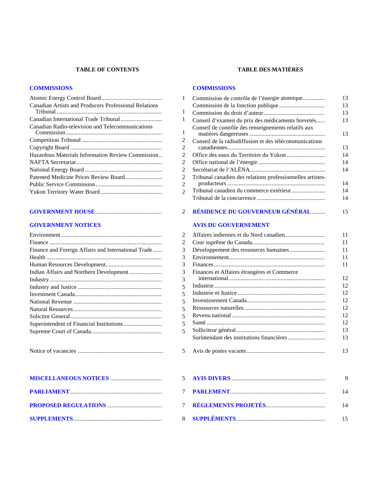#### **TABLE OF CONTENTS TABLE DES MATIÈRES**

#### **[COMMISSIONS](#page-2-0) [COMMISSIONS](#page-14-0)**

| <b>Canadian Artists and Producers Professional Relations</b> |  |
|--------------------------------------------------------------|--|
|                                                              |  |
| Canadian Radio-television and Telecommunications             |  |
|                                                              |  |
|                                                              |  |
| Hazardous Materials Information Review Commission            |  |
|                                                              |  |
|                                                              |  |
|                                                              |  |
|                                                              |  |
|                                                              |  |
|                                                              |  |

#### **[GOVERNMENT NOTICES](#page-3-0)**

| Finance and Foreign Affairs and International Trade |
|-----------------------------------------------------|
|                                                     |
|                                                     |
|                                                     |
|                                                     |
|                                                     |
|                                                     |
|                                                     |
|                                                     |
|                                                     |
|                                                     |
|                                                     |
|                                                     |

|--|--|

| 1              | Commission de contrôle de l'énergie atomique               | 13       |
|----------------|------------------------------------------------------------|----------|
|                |                                                            | 13       |
| 1              |                                                            | 13       |
| 1              | Conseil d'examen du prix des médicaments brevetés          | 13       |
|                | Conseil de contrôle des renseignements relatifs aux        |          |
| 1              |                                                            | 13       |
| 2              | Conseil de la radiodiffusion et des télécommunications     |          |
| $\overline{c}$ |                                                            | 13       |
| $\overline{2}$ |                                                            | 14       |
| $\overline{2}$ |                                                            | 14       |
| $\overline{c}$ |                                                            | 14       |
| $\overline{2}$ | Tribunal canadien des relations professionnelles artistes- |          |
| $\overline{2}$ |                                                            | 14       |
| $\overline{2}$ |                                                            | 14       |
|                |                                                            | 14       |
| $\overline{2}$ | RÉSIDENCE DU GOUVERNEUR GÉNÉRAL                            | 15       |
|                | <b>AVIS DU GOUVERNEMENT</b>                                |          |
| $\overline{2}$ |                                                            | 11       |
| 2              |                                                            | 11       |
| 3              |                                                            | 11       |
| $\overline{3}$ |                                                            | 11       |
| 3              |                                                            | 11       |
| 3              | Finances et Affaires étrangères et Commerce                |          |
| $\overline{3}$ |                                                            | 12       |
| 5              |                                                            | 12       |
| 5              |                                                            | 12       |
| 5              |                                                            | 12       |
| 5              |                                                            | 12       |
| 5              |                                                            | 12       |
| 5              |                                                            | 12       |
| 5              |                                                            | 13       |
|                |                                                            | 13       |
| 5              |                                                            | 13       |
| $\epsilon$     | A VIC DIVERC                                               | $\Omega$ |

|  | - 14 |
|--|------|
|  |      |
|  |      |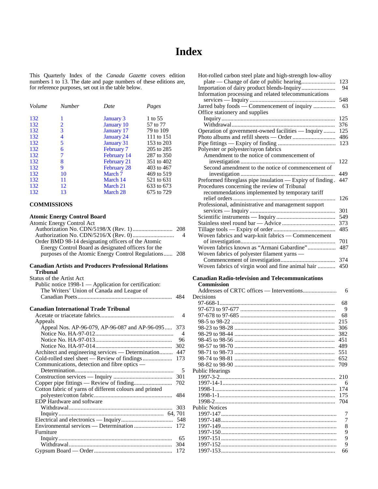## **Index**

<span id="page-2-0"></span>This Quarterly Index of the *Canada Gazette* covers edition numbers 1 to 13. The date and page numbers of these editions are, for reference purposes, set out in the table below.

| Volume | <b>Number</b> | Date               | Pages      |
|--------|---------------|--------------------|------------|
| 132    | 1             | <b>January 3</b>   | 1 to 55    |
| 132    | 2             | January 10         | 57 to 77   |
| 132    | 3             | January 17         | 79 to 109  |
| 132    | 4             | <b>January 24</b>  | 111 to 151 |
| 132    | 5             | January 31         | 153 to 203 |
| 132    | 6             | February 7         | 205 to 285 |
| 132    | 7             | February 14        | 287 to 350 |
| 132    | 8             | February 21        | 351 to 402 |
| 132    | 9             | <b>February 28</b> | 403 to 467 |
| 132    | 10            | March 7            | 469 to 519 |
| 132    | 11            | March 14           | 521 to 631 |
| 132    | 12            | March 21           | 633 to 673 |
| 132    | 13            | March 28           | 675 to 729 |

#### **COMMISSIONS**

#### **Atomic Energy Control Board**

| $\mu$ come $\mu$ $\mu$ $\mu$ $\mu$ $\mu$<br><b>Atomic Energy Control Act</b><br>Order BMD 98-14 designating officers of the Atomic<br>Energy Control Board as designated officers for the<br>purposes of the Atomic Energy Control Regulations | 208<br>4<br>208 |
|------------------------------------------------------------------------------------------------------------------------------------------------------------------------------------------------------------------------------------------------|-----------------|
|                                                                                                                                                                                                                                                |                 |
| <b>Canadian Artists and Producers Professional Relations</b><br>Tribunal                                                                                                                                                                       |                 |
| <b>Status of the Artist Act</b>                                                                                                                                                                                                                |                 |
| Public notice 1998-1 — Application for certification:                                                                                                                                                                                          |                 |
| The Writers' Union of Canada and League of                                                                                                                                                                                                     |                 |
|                                                                                                                                                                                                                                                | 484             |
|                                                                                                                                                                                                                                                |                 |
| <b>Canadian International Trade Tribunal</b>                                                                                                                                                                                                   |                 |
|                                                                                                                                                                                                                                                | 4               |
| Appeals                                                                                                                                                                                                                                        |                 |
| Appeal Nos. AP-96-079, AP-96-087 and AP-96-095                                                                                                                                                                                                 | 373<br>4        |
|                                                                                                                                                                                                                                                | 96              |
|                                                                                                                                                                                                                                                | 302             |
| Architect and engineering services - Determination                                                                                                                                                                                             | 447             |
|                                                                                                                                                                                                                                                | 173             |
| Communications, detection and fibre optics —                                                                                                                                                                                                   |                 |
|                                                                                                                                                                                                                                                | 5               |
|                                                                                                                                                                                                                                                | 301             |
|                                                                                                                                                                                                                                                | 702             |
| Cotton fabric of yarns of different colours and printed                                                                                                                                                                                        |                 |
|                                                                                                                                                                                                                                                | 484             |
| EDP Hardware and software                                                                                                                                                                                                                      |                 |
|                                                                                                                                                                                                                                                | 303             |
|                                                                                                                                                                                                                                                |                 |
|                                                                                                                                                                                                                                                | 548             |
| Furniture                                                                                                                                                                                                                                      | 172             |
|                                                                                                                                                                                                                                                | 65              |
|                                                                                                                                                                                                                                                | 304             |
|                                                                                                                                                                                                                                                | 172             |
|                                                                                                                                                                                                                                                |                 |

| Hot-rolled carbon steel plate and high-strength low-alloy |     |
|-----------------------------------------------------------|-----|
|                                                           | 123 |
| Importation of dairy product blends-Inquiry               | 94  |
| Information processing and related telecommunications     |     |
|                                                           | 548 |
| Jarred baby foods — Commencement of inquiry               | 63  |
| Office stationery and supplies                            |     |
|                                                           | 125 |
|                                                           | 376 |
| Operation of government-owned facilities - Inquiry        | 125 |
|                                                           | 486 |
|                                                           | 123 |
| Polyester or polyester/rayon fabrics                      |     |
| Amendment to the notice of commencement of                |     |
|                                                           | 122 |
| Second amendment to the notice of commencement of         |     |
|                                                           | 449 |
| Preformed fibreglass pipe insulation — Expiry of finding. | 447 |
| Procedures concerning the review of Tribunal              |     |
| recommendations implemented by temporary tariff           |     |
|                                                           | 126 |
| Professional, administrative and management support       |     |
|                                                           | 301 |
|                                                           | 549 |
|                                                           | 373 |
|                                                           | 485 |
| Woven fabrics and warp-knit fabrics — Commencement        |     |
|                                                           | 701 |
| Woven fabrics known as "Armani Gabardine"                 | 487 |
| Woven fabrics of polyester filament yarns —               |     |
|                                                           | 374 |
| Woven fabrics of virgin wool and fine animal hair         | 450 |
|                                                           |     |
| <b>Canadian Radio-television and Telecommunications</b>   |     |
| <b>Commission</b>                                         |     |

| Decisions              |                |
|------------------------|----------------|
|                        | 68             |
|                        | 9              |
|                        | 68             |
|                        | 215            |
|                        | 306            |
|                        | 382            |
|                        | 451            |
|                        | 489            |
|                        | 551            |
|                        | 652            |
|                        | 709            |
| <b>Public Hearings</b> |                |
|                        | 210            |
|                        | -6             |
|                        | 174            |
|                        | 175            |
|                        | 704            |
| <b>Public Notices</b>  |                |
|                        | 7              |
|                        | $\overline{7}$ |
|                        | 8              |
|                        | 9              |
|                        | 9              |
|                        | 9              |
|                        | 66             |
|                        |                |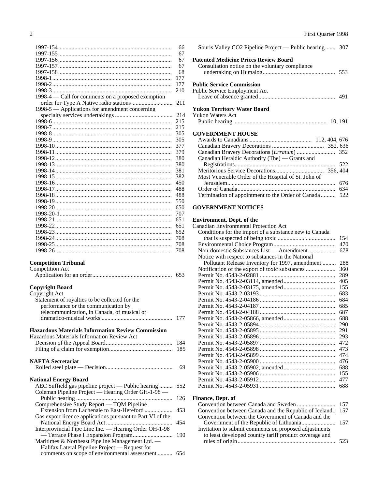<span id="page-3-0"></span>

|                                                    | 66  |
|----------------------------------------------------|-----|
|                                                    | 67  |
|                                                    | 67  |
|                                                    | 67  |
|                                                    | 68  |
|                                                    | 177 |
|                                                    | 177 |
|                                                    | 210 |
| 1998-4 — Call for comments on a proposed exemption |     |
|                                                    | 211 |
| 1998-5 — Applications for amendment concerning     |     |
|                                                    | 214 |
|                                                    | 215 |
|                                                    | 215 |
|                                                    | 305 |
|                                                    | 305 |
|                                                    | 377 |
|                                                    | 379 |
|                                                    | 380 |
|                                                    | 380 |
|                                                    | 381 |
|                                                    | 382 |
|                                                    | 450 |
|                                                    | 488 |
|                                                    | 488 |
|                                                    | 550 |
|                                                    | 650 |
|                                                    | 707 |
|                                                    | 651 |
|                                                    | 651 |
|                                                    | 652 |
|                                                    | 708 |
|                                                    | 708 |
|                                                    | 708 |
|                                                    |     |

## **Competition Tribunal**<br>Competition Act

| Competition Act |     |
|-----------------|-----|
|                 | 653 |

#### **Copyright Board**

| Copyright Act                                              |     |
|------------------------------------------------------------|-----|
| Statement of royalties to be collected for the             |     |
| performance or the communication by                        |     |
| telecommunication, in Canada, of musical or                |     |
|                                                            | 177 |
| <b>Hazardous Materials Information Review Commission</b>   |     |
| Hazardous Materials Information Review Act                 |     |
|                                                            | 184 |
|                                                            | 185 |
|                                                            |     |
| <b>NAFTA Secretariat</b>                                   |     |
|                                                            | 69  |
|                                                            |     |
| <b>National Energy Board</b>                               |     |
| AEC Suffield gas pipeline project — Public hearing         | 552 |
| Coleman Pipeline Project — Hearing Order GH-1-98 —         |     |
|                                                            | 126 |
| Comprehensive Study Report — TQM Pipeline                  |     |
| Extension from Lachenaie to East-Hereford                  | 453 |
| Gas export licence applications pursuant to Part VI of the |     |
|                                                            | 454 |
| Interprovincial Pipe Line Inc. — Hearing Order OH-1-98     |     |
|                                                            | 190 |
| Maritimes & Northeast Pipeline Management Ltd. —           |     |
| Halifax Lateral Pipeline Project — Request for             |     |
| comments on scope of environmental assessment              | 654 |
|                                                            |     |
|                                                            |     |

| Souris Valley CO2 Pipeline Project — Public hearing 307                                         |     |
|-------------------------------------------------------------------------------------------------|-----|
| <b>Patented Medicine Prices Review Board</b><br>Consultation notice on the voluntary compliance |     |
| <b>Public Service Commission</b><br>Public Service Employment Act                               |     |
| <b>Yukon Territory Water Board</b>                                                              |     |
| <b>Yukon Waters Act</b>                                                                         |     |
| <b>GOVERNMENT HOUSE</b>                                                                         |     |
|                                                                                                 |     |
|                                                                                                 |     |
|                                                                                                 |     |
| Canadian Heraldic Authority (The) — Grants and                                                  |     |
|                                                                                                 |     |
|                                                                                                 |     |
| Most Venerable Order of the Hospital of St. John of                                             |     |
|                                                                                                 |     |
|                                                                                                 | 634 |
| Termination of appointment to the Order of Canada                                               | 522 |
|                                                                                                 |     |

#### **GOVERNMENT NOTICES**

#### **Environment, Dept. of the**

| <b>Canadian Environmental Protection Act</b>           |     |
|--------------------------------------------------------|-----|
| Conditions for the import of a substance new to Canada |     |
|                                                        | 154 |
|                                                        | 470 |
| Non-domestic Substances List — Amendment               | 678 |
| Notice with respect to substances in the National      |     |
| Pollutant Release Inventory for 1997, amendment        | 288 |
|                                                        | 360 |
|                                                        | 289 |
|                                                        | 405 |
|                                                        | 155 |
|                                                        | 683 |
|                                                        | 684 |
|                                                        | 685 |
|                                                        | 687 |
|                                                        | 688 |
|                                                        | 290 |
|                                                        | 291 |
|                                                        | 293 |
|                                                        | 472 |
|                                                        | 473 |
|                                                        | 474 |
|                                                        | 476 |
|                                                        | 688 |
|                                                        | 155 |
|                                                        | 477 |
|                                                        | 688 |
|                                                        |     |
|                                                        |     |

#### **Finance, Dept. of**

| Convention between Canada and the Republic of Iceland 157 |     |
|-----------------------------------------------------------|-----|
| Convention between the Government of Canada and the       |     |
|                                                           |     |
| Invitation to submit comments on proposed adjustments     |     |
| to least developed country tariff product coverage and    |     |
|                                                           | 523 |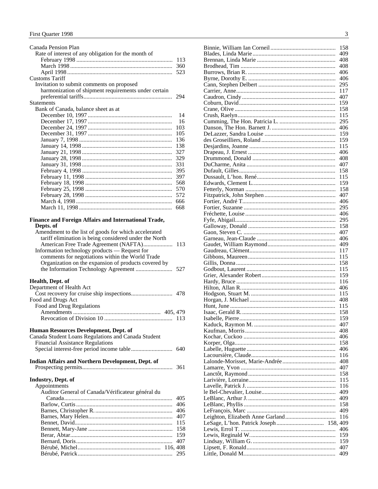| Canada Pension Plan                                    |     |
|--------------------------------------------------------|-----|
| Rate of interest of any obligation for the month of    |     |
|                                                        | 113 |
|                                                        | 360 |
|                                                        |     |
|                                                        | 523 |
| <b>Customs Tariff</b>                                  |     |
| Invitation to submit comments on proposed              |     |
| harmonization of shipment requirements under certain   |     |
|                                                        | 294 |
| <b>Statements</b>                                      |     |
| Bank of Canada, balance sheet as at                    |     |
|                                                        | 14  |
|                                                        | 16  |
|                                                        | 103 |
|                                                        | 105 |
|                                                        | 136 |
|                                                        | 138 |
|                                                        | 327 |
|                                                        | 329 |
|                                                        | 331 |
|                                                        | 395 |
|                                                        | 397 |
|                                                        | 568 |
|                                                        |     |
|                                                        | 570 |
|                                                        | 572 |
|                                                        | 666 |
|                                                        | 668 |
| Finance and Foreign Affairs and International Trade,   |     |
| Depts. of                                              |     |
| Amendment to the list of goods for which accelerated   |     |
| tariff elimination is being considered under the North |     |
| American Free Trade Agreement (NAFTA) 113              |     |
| Information technology products - Request for          |     |
| comments for negotiations within the World Trade       |     |
| Organization on the expansion of products covered by   |     |
|                                                        |     |
|                                                        |     |
| Health, Dept. of                                       |     |
| Department of Health Act                               |     |
|                                                        |     |
| Food and Drugs Act                                     |     |
| Food and Drug Regulations                              |     |
|                                                        |     |
|                                                        | 113 |
|                                                        |     |
| Human Resources Development, Dept. of                  |     |
| Canada Student Loans Regulations and Canada Student    |     |
| <b>Financial Assistance Regulations</b>                |     |
|                                                        | 640 |
|                                                        |     |
| Indian Affairs and Northern Development, Dept. of      |     |
|                                                        | 361 |

| Industry, Dept. of |  |
|--------------------|--|
| Annointments       |  |

|  | Appointments |
|--|--------------|

| дрроннитения                                      |     |
|---------------------------------------------------|-----|
| Auditor General of Canada/Vérificateur général du |     |
|                                                   |     |
|                                                   | 406 |
|                                                   | 406 |
|                                                   |     |
|                                                   | 115 |
|                                                   |     |
|                                                   | 159 |
|                                                   |     |
|                                                   |     |
|                                                   |     |
|                                                   |     |

| 158 |
|-----|
| 409 |
| 408 |
| 408 |
| 406 |
| 406 |
| 295 |
| 117 |
| 407 |
| 159 |
| 158 |
| 115 |
| 295 |
| 406 |
| 159 |
| 159 |
| 115 |
| 406 |
| 408 |
| 407 |
| 158 |
| 115 |
| 159 |
| 158 |
| 407 |
| 406 |
| 295 |
| 406 |
| 295 |
| 158 |
| 407 |
| 406 |
| 409 |
| 117 |
| 115 |
| 158 |
| 115 |
| 159 |
| 116 |
| 406 |
| 115 |
| 408 |
| 115 |
| 158 |
| 159 |
| 407 |
| 408 |
| 406 |
| 158 |
| 406 |
|     |
| 116 |
| 408 |
| 407 |
| 158 |
| 115 |
| 116 |
| 409 |
| 409 |
| 158 |
| 409 |
| 116 |
|     |
| 406 |
| 159 |
| 159 |
| 407 |
| 409 |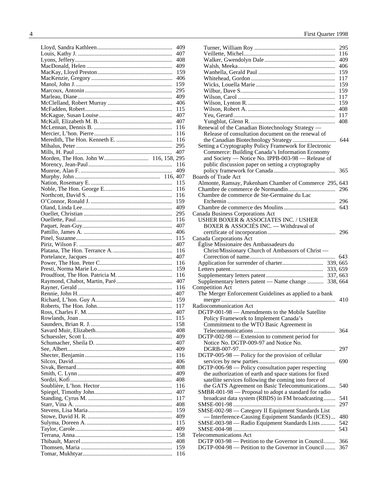| 409 |
|-----|
| 407 |
|     |
| 408 |
| 409 |
| 159 |
| 406 |
| 159 |
| 295 |
|     |
| 409 |
| 406 |
| 115 |
| 407 |
| 407 |
| 116 |
| 116 |
|     |
| 116 |
| 295 |
| 407 |
|     |
| 116 |
| 409 |
|     |
|     |
| 115 |
| 116 |
| 116 |
| 159 |
| 409 |
|     |
| 295 |
| 116 |
| 407 |
| 406 |
| 115 |
|     |
| 407 |
| 116 |
| 407 |
| 116 |
| 159 |
| 116 |
| 407 |
|     |
| 116 |
| 407 |
| 159 |
| 117 |
| 407 |
|     |
| 115 |
| 158 |
| 408 |
| 409 |
| 407 |
| 409 |
| 116 |
|     |
| 406 |
| 408 |
| 409 |
| 408 |
| 116 |
| 407 |
|     |
| 117 |
| 408 |
|     |
| 159 |
|     |
| 409 |
| 115 |
| 409 |
| 158 |
| 408 |
| 159 |

|                                                                                                        | 295        |
|--------------------------------------------------------------------------------------------------------|------------|
|                                                                                                        | 116        |
|                                                                                                        |            |
|                                                                                                        | 409        |
|                                                                                                        | 406        |
|                                                                                                        | 159        |
|                                                                                                        | 117        |
|                                                                                                        | 159        |
|                                                                                                        | 159        |
|                                                                                                        | 117        |
|                                                                                                        | 159        |
|                                                                                                        | 408        |
|                                                                                                        | 117        |
|                                                                                                        | 408        |
| Renewal of the Canadian Biotechnology Strategy -                                                       |            |
| Release of consultation document on the renewal of                                                     |            |
|                                                                                                        | 644        |
| Setting a Cryptography Policy Framework for Electronic                                                 |            |
| Commerce: Building Canada's Information Economy                                                        |            |
| and Society - Notice No. IPPB-003-98 - Release of                                                      |            |
| public discussion paper on setting a cryptography                                                      |            |
|                                                                                                        | 365        |
| <b>Boards of Trade Act</b>                                                                             |            |
| Almonte, Ramsay, Pakenham Chamber of Commerce 295, 643                                                 |            |
|                                                                                                        |            |
| Chambre de commerce de Ste-Germaine du Lac                                                             |            |
|                                                                                                        |            |
|                                                                                                        | 643        |
| Canada Business Corporations Act                                                                       |            |
| USHER BOXER & ASSOCIATES INC. / USHER                                                                  |            |
| BOXER & ASSOCIÉS INC. - Withdrawal of                                                                  |            |
|                                                                                                        |            |
| Canada Corporations Act                                                                                |            |
| Église Missionaire des Ambassadeurs du                                                                 |            |
|                                                                                                        |            |
|                                                                                                        |            |
| Christ/Missionary Church of Ambassors of Christ -                                                      |            |
|                                                                                                        |            |
|                                                                                                        |            |
|                                                                                                        |            |
|                                                                                                        |            |
| Supplementary letters patent - Name change  338, 664                                                   |            |
| <b>Competition Act</b>                                                                                 |            |
| The Merger Enforcement Guidelines as applied to a bank                                                 | 410        |
|                                                                                                        |            |
| Radiocommunication Act                                                                                 |            |
| DGTP-001-98 - Amendments to the Mobile Satellite                                                       |            |
| Policy Framework to Implement Canada's                                                                 |            |
| Commitment to the WTO Basic Agreement in                                                               |            |
|                                                                                                        | 364        |
| DGTP-002-98 — Extension to comment period for                                                          |            |
| Notice No. DGTP-009-97 and Notice No.                                                                  |            |
|                                                                                                        | 297        |
| DGTP-005-98 — Policy for the provision of cellular                                                     |            |
|                                                                                                        | 690        |
| $DGTP-006-98$ — Policy consultation paper respecting                                                   |            |
| the authorization of earth and space stations for fixed                                                |            |
| satellite services following the coming into force of                                                  |            |
| the GATS Agreement on Basic Telecommunications                                                         | 540        |
| SMBR-001-98 — Proposal to adopt a standard for radio                                                   |            |
| broadcast data system (RBDS) in FM broadcasting                                                        | 541        |
|                                                                                                        | 297        |
| SMSE-002-98 - Category II Equipment Standards List                                                     |            |
| - Interference-Causing Equipment Standards (ICES)                                                      | 480        |
| SMSE-003-98 - Radio Equipment Standards Lists                                                          | 542        |
|                                                                                                        | 543        |
| <b>Telecommunications Act</b>                                                                          |            |
| DGTP 003-98 — Petition to the Governor in Council<br>DGTP-004-98 — Petition to the Governor in Council | 366<br>367 |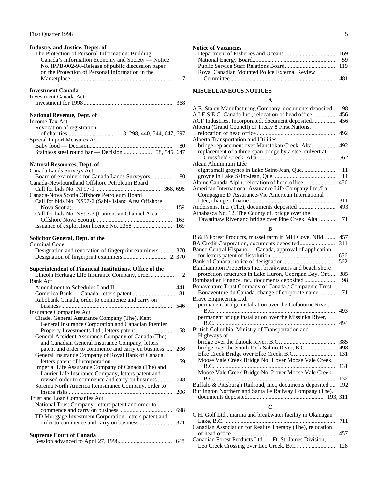<span id="page-6-0"></span>

| <b>Industry and Justice, Depts. of</b><br>The Protection of Personal Information: Building<br>Canada's Information Economy and Society - Notice<br>No. IPPB-002-98-Release of public discussion paper<br>on the Protection of Personal Information in the<br>117 |  |
|------------------------------------------------------------------------------------------------------------------------------------------------------------------------------------------------------------------------------------------------------------------|--|
| <b>Investment Canada</b><br>Investment Canada Act                                                                                                                                                                                                                |  |
| <b>National Revenue, Dept. of</b><br><b>Income Tax Act</b><br>Revocation of registration                                                                                                                                                                         |  |
| <b>Special Import Measures Act</b><br>80                                                                                                                                                                                                                         |  |
| <b>Natural Resources, Dept. of</b><br>Canada Lands Surveys Act                                                                                                                                                                                                   |  |
| Board of examiners for Canada Lands Surveyors<br>80<br>Canada-Newfoundland Offshore Petroleum Board                                                                                                                                                              |  |
| Canada-Nova Scotia Offshore Petroleum Board<br>Call for bids No. NS97-2 (Sable Island Area Offshore<br>159                                                                                                                                                       |  |
| Call for bids No. NS97-3 (Laurentian Channel Area<br>163                                                                                                                                                                                                         |  |
| <b>Solicitor General, Dept. of the</b>                                                                                                                                                                                                                           |  |
| <b>Criminal Code</b><br>Designation and revocation of fingerprint examiners  370                                                                                                                                                                                 |  |
| Superintendent of Financial Institutions, Office of the<br>Lincoln Heritage Life Insurance Company, order<br>2                                                                                                                                                   |  |
| <b>Bank Act</b>                                                                                                                                                                                                                                                  |  |
| 81<br>Rabobank Canada, order to commence and carry on                                                                                                                                                                                                            |  |
| <b>Insurance Companies Act</b><br>Citadel General Assurance Company (The), Kent                                                                                                                                                                                  |  |
| General Insurance Corporation and Canadian Premier<br>58<br>General Accident Assurance Company of Canada (The)                                                                                                                                                   |  |
| and Canadian General Insurance Company, letters<br>patent and order to commence and carry on business<br>206<br>General Insurance Company of Royal Bank of Canada,                                                                                               |  |
| 59<br>Imperial Life Assurance Company of Canada (The) and<br>Laurier Life Insurance Company, letters patent and                                                                                                                                                  |  |
| revised order to commence and carry on business<br>648<br>Sorema North America Reinsurance Company, order to<br>206                                                                                                                                              |  |
| Trust and Loan Companies Act<br>National Trust Company, letters patent and order to                                                                                                                                                                              |  |
| 698<br>TD Mortgage Investment Corporation, letters patent and<br>371                                                                                                                                                                                             |  |
| <b>Supreme Court of Canada</b><br>648                                                                                                                                                                                                                            |  |

| <b>Notice of Vacancies</b> |  |
|----------------------------|--|
|----------------------------|--|

| Royal Canadian Mounted Police External Review |  |
|-----------------------------------------------|--|
|                                               |  |

#### **MISCELLANEOUS NOTICES**

#### **A**

| A.E. Staley Manufacturing Company, documents deposited<br>A.I.E.S.E.C. Canada Inc., relocation of head office | 98<br>456  |
|---------------------------------------------------------------------------------------------------------------|------------|
| ACF Industries, Incorporated, document deposited                                                              | 456        |
| Alberta (Grand Council) of Treaty 8 First Nations,                                                            | 492        |
| Alberta Transportation and Utilities                                                                          |            |
| bridge replacement over Manatokan Creek, Alta                                                                 | 492        |
| replacement of a three-span bridge by a steel culvert at                                                      |            |
| Alcan Aluminium Ltée                                                                                          | 562        |
| eight small groynes in Lake Saint-Jean, Que.                                                                  | 11         |
|                                                                                                               | 11         |
| Alpine Canada Alpin, relocation of head office                                                                | 456        |
| American International Assurance Life Company Ltd./La                                                         |            |
| Compagnie D'Assurance-Vie American International                                                              |            |
|                                                                                                               | 311        |
|                                                                                                               | 493        |
| Athabasca No. 12, The County of, bridge over the                                                              |            |
| Tawatinaw River and bridge over Pine Creek, Alta                                                              | 71         |
|                                                                                                               |            |
| R                                                                                                             |            |
| B & B Forest Products, mussel farm in Mill Cove, Nfld                                                         | 457        |
| BA Credit Corporation, documents deposited                                                                    | 311        |
| Banco Central Hispano — Canada, approval of application                                                       |            |
|                                                                                                               | 656        |
|                                                                                                               | 562        |
| Blairhampton Properties Inc., breakwaters and beach shore                                                     |            |
| protection structures in Lake Huron, Georgian Bay, Ont                                                        | 385        |
| Bombardier Finance Inc., documents deposited                                                                  | 98         |
| Bonaventure Trust Company of Canada / Compagnie Trust                                                         |            |
| Bonaventure du Canada, change of corporate name                                                               | 71         |
| Brave Engineering Ltd.                                                                                        |            |
| permanent bridge installation over the Colbourne River,                                                       |            |
|                                                                                                               | 493        |
| permanent bridge installation over the Missinka River,                                                        |            |
|                                                                                                               | 494        |
| British Columbia, Ministry of Transportation and                                                              |            |
| Highways of                                                                                                   |            |
|                                                                                                               | 385<br>498 |
| bridge over the South Fork Salmo River, B.C.                                                                  | 131        |
| Moose Vale Creek Bridge No. 1 over Moose Vale Creek,                                                          |            |
|                                                                                                               | 131        |
| Moose Vale Creek Bridge No. 2 over Moose Vale Creek,                                                          |            |
|                                                                                                               | 132        |
| Buffalo & Pittsburgh Railroad, Inc., documents deposited                                                      | 192        |
|                                                                                                               |            |

Burlington Northern and Santa Fe Railway Company (The), documents deposited................................................... 193, 311

#### **C**

| C.H. Golf Ltd., marina and breakwater facility in Okanagan |  |
|------------------------------------------------------------|--|
|                                                            |  |
| Canadian Association for Reality Therapy (The), relocation |  |
|                                                            |  |
| Canadian Forest Products Ltd. - Ft. St. James Division,    |  |
|                                                            |  |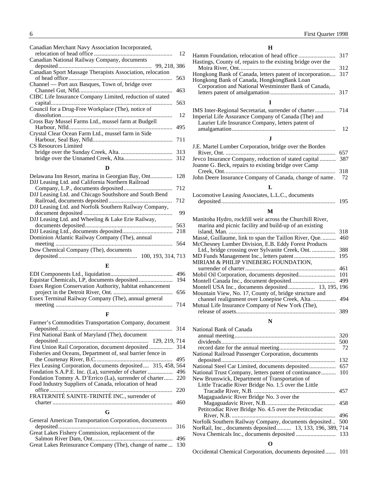| Canadian Merchant Navy Association Incorporated,          |     |
|-----------------------------------------------------------|-----|
|                                                           | 12  |
| Canadian National Railway Company, documents              |     |
|                                                           |     |
| Canadian Sport Massage Therapists Association, relocation |     |
|                                                           | 563 |
| Channel — Port aux Basques, Town of, bridge over          |     |
|                                                           | 463 |
| CIBC Life Insurance Company Limited, reduction of stated  |     |
|                                                           | 563 |
| Council for a Drug-Free Workplace (The), notice of        |     |
|                                                           | 12  |
| Cross Bay Mussel Farms Ltd., mussel farm at Budgell       |     |
|                                                           | 495 |
| Crystal Clear Ocean Farm Ltd., mussel farm in Side        |     |
|                                                           | 711 |
| CS Resources Limited                                      |     |
|                                                           | 313 |
|                                                           |     |
| D                                                         |     |

#### **D**

|                                                        | 128 |
|--------------------------------------------------------|-----|
| DJJ Leasing Ltd. and California Northern Railroad      |     |
|                                                        | 712 |
| DJJ Leasing Ltd. and Chicago Southshore and South Bend |     |
|                                                        | 712 |
| DJJ Leasing Ltd. and Norfolk Southern Railway Company, |     |
|                                                        | 99  |
| DJJ Leasing Ltd. and Wheeling & Lake Erie Railway,     |     |
|                                                        | 563 |
|                                                        | 218 |
| Dominion Atlantic Railway Company (The), annual        |     |
|                                                        | 564 |
| Dow Chemical Company (The), documents                  |     |
| 100, 193, 314, 713                                     |     |
|                                                        |     |

#### **E**

| Essex Region Conservation Authority, habitat enhancement |  |
|----------------------------------------------------------|--|
|                                                          |  |
| Essex Terminal Railway Company (The), annual general     |  |
|                                                          |  |
|                                                          |  |

#### **F**

| Farmer's Commodities Transportation Company, document       |     |
|-------------------------------------------------------------|-----|
|                                                             |     |
| First National Bank of Maryland (The), document             |     |
|                                                             |     |
|                                                             |     |
| Fisheries and Oceans, Department of, seal barrier fence in  |     |
|                                                             | 495 |
| Flex Leasing Corporation, documents deposited 315, 458, 564 |     |
|                                                             |     |
| Fondation Tommy A. D'Errico (La), surrender of charter 220  |     |
| Food Industry Suppliers of Canada, relocation of head       |     |
|                                                             |     |
| FRATERNITÉ SAINTE-TRINITÉ INC., surrender of                |     |
|                                                             |     |
|                                                             |     |

#### **G**

| Great Lakes Reinsurance Company (The), change of name 130 |
|-----------------------------------------------------------|
|                                                           |

#### **H**

| Hastings, County of, repairs to the existing bridge over the |     |
|--------------------------------------------------------------|-----|
|                                                              | 312 |
| Hongkong Bank of Canada, letters patent of incorporation 317 |     |
| Hongkong Bank of Canada, HongkongBank Loan                   |     |
| Corporation and National Westminster Bank of Canada,         |     |
|                                                              |     |
|                                                              |     |
|                                                              |     |
| Imperial Life Assurance Company of Canada (The) and          |     |

| Imperial Life Assurance Company of Canada (The) and |    |
|-----------------------------------------------------|----|
| Laurier Life Insurance Company, letters patent of   |    |
|                                                     | 12 |
|                                                     |    |

#### J.E. Martel Lumber Corporation, bridge over the Borden River, Ont. .......................................................................... 657 Jevco Insurance Company, reduction of stated capital ........... 387 Joanne G. Beck, repairs to existing bridge over Camp Creek, Ont........................................................................... 318 John Deere Insurance Company of Canada, change of name. 72

#### **L**

| Locomotive Leasing Associates, L.L.C., documents |     |
|--------------------------------------------------|-----|
|                                                  | 195 |

#### **M**

| Manitoba Hydro, rockfill weir across the Churchill River,<br>marina and picnic facility and build-up of an existing |     |
|---------------------------------------------------------------------------------------------------------------------|-----|
|                                                                                                                     | 318 |
| Massé, Guillaume, link to span the Taillon River, Que                                                               | 460 |
| McChesney Lumber Division, E.B. Eddy Forest Products                                                                |     |
|                                                                                                                     | 388 |
|                                                                                                                     | 195 |
| MIRIAM & PHILIP VINEBERG FOUNDATION,                                                                                |     |
|                                                                                                                     | 461 |
|                                                                                                                     | 101 |
|                                                                                                                     | 499 |
| Montell USA Inc., documents deposited 13, 195, 196                                                                  |     |
| Mountain View, No. 17, County of, bridge structure and                                                              |     |
|                                                                                                                     | 494 |
| Mutual Life Insurance Company of New York (The),                                                                    |     |
|                                                                                                                     | 389 |

#### **N**

| 320                                                       |
|-----------------------------------------------------------|
| 500                                                       |
| 72                                                        |
|                                                           |
| 132                                                       |
| 657                                                       |
| 101                                                       |
|                                                           |
|                                                           |
| 457                                                       |
|                                                           |
| 458                                                       |
|                                                           |
| 496                                                       |
| 500                                                       |
| NorRail, Inc., documents deposited 13, 133, 196, 389, 714 |
|                                                           |
|                                                           |
|                                                           |

#### **O**

Occidental Chemical Corporation, documents deposited....... 101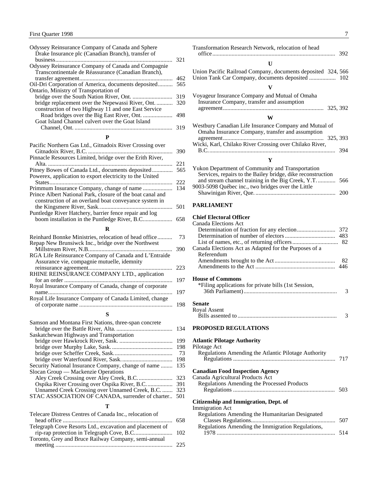<span id="page-8-0"></span>

| Odyssey Reinsurance Company of Canada and Sphere    |     |
|-----------------------------------------------------|-----|
| Drake Insurance plc (Canadian Branch), transfer of  |     |
|                                                     | 321 |
| Odyssey Reinsurance Company of Canada and Compagnie |     |
| Transcontinentale de Réassurance (Canadian Branch), |     |
|                                                     | 462 |
| Oil-Dri Corporation of America, documents deposited | 565 |
| Ontario, Ministry of Transportation of              |     |
|                                                     | 319 |
| bridge replacement over the Nepewassi River, Ont    | 320 |
| construction of two Highway 11 and one East Service |     |
|                                                     | 498 |
| Goat Island Channel culvert over the Goat Island    |     |
|                                                     | 319 |
|                                                     |     |

#### Pacific Northern Gas Ltd., Gitnadoix River Crossing over Gitnadoix River, B.C. ......................................................... 390 Pinnacle Resources Limited, bridge over the Erith River, Alta. .................................................................................... 221 Pitney Bowes of Canada Ltd., documents deposited.............. 565 Powerex, application to export electricity to the United States................................................................................... 222 Primmum Insurance Company, change of name .................... 134 Prince Albert National Park, closure of the boat canal and construction of an overland boat conveyance system in the Kingsmere River, Sask.................................................. 501 Puntledge River Hatchery, barrier fence repair and log boom installation in the Puntledge River, B.C.................... 658 **R**

| Reinhard Bonnke Ministries, relocation of head office                                                | 73  |
|------------------------------------------------------------------------------------------------------|-----|
| Repap New Brunsiwck Inc., bridge over the Northwest                                                  |     |
|                                                                                                      | 390 |
| RGA Life Reinsurance Company of Canada and L'Entraide<br>Assurance vie, compagnie mutuelle, idemnity |     |
|                                                                                                      | 223 |
| RHINE REINSURANCE COMPANY LTD., application                                                          | 197 |
| Royal Insurance Company of Canada, change of corporate                                               | 197 |
| Royal Life Insurance Company of Canada Limited, change                                               | 198 |
|                                                                                                      |     |
| Samson and Montana First Nations, three-span concrete<br>hridge over the Dettle Divor Alter          | 121 |
|                                                                                                      |     |

|                                                     | 134 |
|-----------------------------------------------------|-----|
| Saskatchewan Highways and Transportation            |     |
|                                                     | 199 |
|                                                     | 198 |
|                                                     | 73  |
|                                                     | 198 |
| Security National Insurance Company, change of name | 135 |
| Slocan Group — Mackenzie Operations                 |     |
|                                                     | 323 |
| Ospika River Crossing over Ospika River, B.C        | 391 |
| Unnamed Creek Crossing over Unnamed Creek, B.C.     | 323 |
| STAC ASSOCIATION OF CANADA, surrender of charter    | 501 |
|                                                     |     |
|                                                     |     |

| Telecare Distress Centres of Canada Inc., relocation of  |  |
|----------------------------------------------------------|--|
|                                                          |  |
| Telegraph Cove Resorts Ltd., excavation and placement of |  |
| rip-rap protection in Telegraph Cove, B.C 102            |  |
| Toronto, Grey and Bruce Railway Company, semi-annual     |  |
|                                                          |  |

| Transformation Research Network, relocation of head                                                                                                                   |     |
|-----------------------------------------------------------------------------------------------------------------------------------------------------------------------|-----|
| U                                                                                                                                                                     |     |
| Union Pacific Railroad Company, documents deposited 324, 566                                                                                                          |     |
| V                                                                                                                                                                     |     |
| Voyageur Insurance Company and Mutual of Omaha<br>Insurance Company, transfer and assumption                                                                          |     |
| W                                                                                                                                                                     |     |
| Westbury Canadian Life Insurance Company and Mutual of<br>Omaha Insurance Company, transfer and assumption                                                            |     |
| Wicki, Karl, Chilako River Crossing over Chilako River,                                                                                                               |     |
|                                                                                                                                                                       | 394 |
| Y                                                                                                                                                                     |     |
| Yukon Department of Community and Transportation<br>Services, repairs to the Bailey bridge, dike reconstruction<br>and stream channel training in the Big Creek, Y.T. | 566 |
| 9003-5098 Québec inc., two bridges over the Little                                                                                                                    | 200 |
| <b>PARLIAMENT</b>                                                                                                                                                     |     |
| <b>Chief Electoral Officer</b>                                                                                                                                        |     |
| <b>Canada Elections Act</b>                                                                                                                                           |     |
|                                                                                                                                                                       | 372 |
|                                                                                                                                                                       | 483 |
| Canada Elections Act as Adapted for the Purposes of a<br>Referendum                                                                                                   | 82  |
|                                                                                                                                                                       | 82  |
|                                                                                                                                                                       | 446 |
| <b>House of Commons</b>                                                                                                                                               |     |
| *Filing applications for private bills (1st Session,                                                                                                                  |     |
|                                                                                                                                                                       | 3   |
| Senate                                                                                                                                                                |     |
| Royal Assent                                                                                                                                                          |     |
|                                                                                                                                                                       | 3   |
| <b>PROPOSED REGULATIONS</b>                                                                                                                                           |     |
| <b>Atlantic Pilotage Authority</b><br>Pilotage Act                                                                                                                    |     |

| Pilotage Act                                         |     |
|------------------------------------------------------|-----|
| Regulations Amending the Atlantic Pilotage Authority |     |
|                                                      |     |
| <b>Canadian Food Inspection Agency</b>               |     |
| Canada Agricultural Products Act                     |     |
| Regulations Amending the Processed Products          |     |
|                                                      | 503 |
| Citizenship and Immigration, Dept. of                |     |
| <b>Immigration Act</b>                               |     |
| Regulations Amending the Humanitarian Designated     |     |
|                                                      | 507 |
| Regulations Amending the Immigration Regulations.    |     |

| Regulations Amending the Immigration Regulations, |     |
|---------------------------------------------------|-----|
|                                                   | 514 |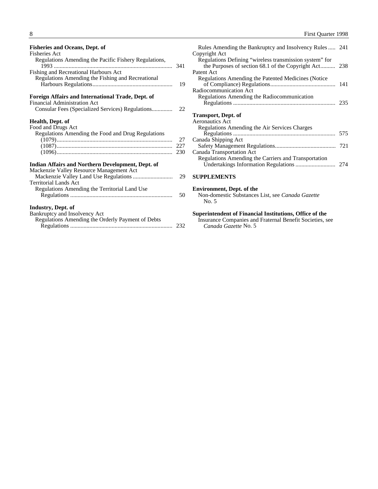<span id="page-9-0"></span>

| <b>Fisheries and Oceans, Dept. of</b>                 |     |
|-------------------------------------------------------|-----|
| <b>Fisheries Act</b>                                  |     |
| Regulations Amending the Pacific Fishery Regulations, |     |
| Fishing and Recreational Harbours Act                 |     |
| Regulations Amending the Fishing and Recreational     | 19  |
| Foreign Affairs and International Trade, Dept. of     |     |
| <b>Financial Administration Act</b>                   |     |
|                                                       | 22  |
| Health, Dept. of                                      |     |
| Food and Drugs Act                                    |     |
| Regulations Amending the Food and Drug Regulations    |     |
|                                                       | 27  |
|                                                       | 227 |
|                                                       | 230 |
|                                                       |     |
| Indian Affairs and Northern Development, Dept. of     |     |
| Mackenzie Valley Resource Management Act              |     |
|                                                       | 29  |
| <b>Territorial Lands Act</b>                          |     |
| Regulations Amending the Territorial Land Use         |     |
|                                                       | 50  |
| Industry, Dept. of                                    |     |
| Bankruptcy and Insolvency Act                         |     |
| Regulations Amending the Orderly Payment of Debts     |     |
|                                                       | 232 |
|                                                       |     |

| Rules Amending the Bankruptcy and Insolvency Rules  241 |     |
|---------------------------------------------------------|-----|
| Copyright Act                                           |     |
| Regulations Defining "wireless transmission system" for |     |
| the Purposes of section 68.1 of the Copyright Act       | 238 |
| Patent Act                                              |     |
| Regulations Amending the Patented Medicines (Notice)    |     |
|                                                         |     |
| Radiocommunication Act                                  |     |
| Regulations Amending the Radiocommunication             |     |
|                                                         |     |
|                                                         |     |
| <b>Transport, Dept. of</b>                              |     |
| <b>Aeronautics Act</b>                                  |     |
| Regulations Amending the Air Services Charges           |     |
|                                                         | 575 |
| Canada Shipping Act                                     |     |
|                                                         |     |
| Canada Transportation Act                               |     |
| Regulations Amending the Carriers and Transportation    |     |
|                                                         |     |
|                                                         |     |
| <b>SUPPLEMENTS</b>                                      |     |
|                                                         |     |

### **Environment, Dept. of the**

Non-domestic Substances List, see *Canada Gazette* No. 5

#### **Superintendent of Financial Institutions, Office of the**

Insurance Companies and Fraternal Benefit Societies, see *Canada Gazette* No. 5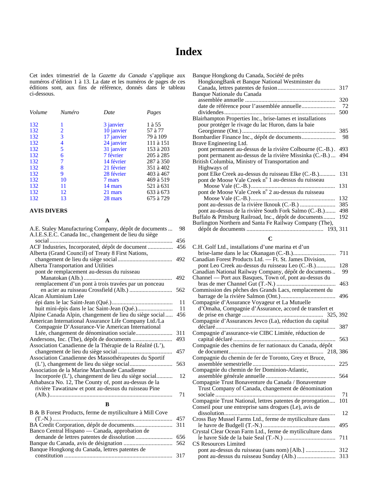## **Index**

<span id="page-10-0"></span>Cet index trimestriel de la *Gazette du Canada* s'applique aux numéros d'édition 1 à 13. La date et les numéros de pages de ces éditions sont, aux fins de référence, donnés dans le tableau ci-dessous.

| Volume | <b>Numéro</b> | Date       | Pages     |
|--------|---------------|------------|-----------|
| 132    | 1             | 3 janvier  | 1 à 55    |
| 132    | 2             | 10 janvier | 57 à 77   |
| 132    | 3             | 17 janvier | 79 à 109  |
| 132    | 4             | 24 janvier | 111 à 151 |
| 132    | 5             | 31 janvier | 153 à 203 |
| 132    | 6             | 7 février  | 205 à 285 |
| 132    | 7             | 14 février | 287 à 350 |
| 132    | 8             | 21 février | 351 à 402 |
| 132    | 9             | 28 février | 403 à 467 |
| 132    | 10            | 7 mars     | 469 à 519 |
| 132    | 11            | 14 mars    | 521 à 631 |
| 132    | 12            | 21 mars    | 633 à 673 |
| 132    | 13            | 28 mars    | 675 à 729 |

#### **AVIS DIVERS**

**A**

| A.E. Staley Manufacturing Company, dépôt de documents     | 98  |
|-----------------------------------------------------------|-----|
| A.I.E.S.E.C. Canada Inc., changement de lieu du siège     |     |
| social $\ldots$                                           | 456 |
| ACF Industries, Incorporated, dépôt de document           | 456 |
| Alberta (Grand Council) of Treaty 8 First Nations,        |     |
|                                                           | 492 |
| Alberta Transportation and Utilities                      |     |
| pont de remplacement au-dessus du ruisseau                |     |
|                                                           | 492 |
| remplacement d'un pont à trois travées par un ponceau     |     |
|                                                           | 562 |
| Alcan Aluminium Ltée                                      |     |
|                                                           | 11  |
|                                                           | 11  |
| Alpine Canada Alpin, changement de lieu du siège social   | 456 |
| American International Assurance Life Company Ltd./La     |     |
| Compagnie D'Assurance-Vie American International          |     |
|                                                           | 311 |
|                                                           | 493 |
| Association Canadienne de la Thérapie de la Réalité (L'), |     |
|                                                           | 457 |
| Association Canadienne des Massothérapeutes du Sportif    |     |
|                                                           | 563 |
| Association de la Marine Marchande Canadienne             |     |
| Incorporée (L'), changement de lieu du siège social       | 12  |
| Athabasca No. 12, The County of, pont au-dessus de la     |     |
| rivière Tawatinaw et pont au-dessus du ruisseau Pine      |     |
|                                                           | 71  |
|                                                           |     |
| B                                                         |     |

| B & B Forest Products, ferme de mytiliculture à Mill Cove |  |
|-----------------------------------------------------------|--|
|                                                           |  |
|                                                           |  |
| Banco Central Hispano — Canada, approbation de            |  |
|                                                           |  |
|                                                           |  |
| Banque Hongkong du Canada, lettres patentes de            |  |
|                                                           |  |
|                                                           |  |

| Banque Hongkong du Canada, Société de prêts                |     |
|------------------------------------------------------------|-----|
| HongkongBank et Banque National Westminster du             |     |
|                                                            | 317 |
| Banque Nationale du Canada                                 |     |
|                                                            | 320 |
| date de référence pour l'assemblée annuelle                | 72  |
|                                                            | 500 |
| Blairhampton Properties Inc., brise-lames et installations |     |
| pour protéger le rivage du lac Huron, dans la baie         |     |
|                                                            | 385 |
| Bombardier Finance Inc., dépôt de documents                | 98  |
| Brave Engineering Ltd.                                     |     |
| pont permanent au-dessus de la rivière Colbourne (C.-B.).  | 493 |
| pont permanent au-dessus de la rivière Missinka (C.-B.)    | 494 |
| British Columbia, Ministry of Transportation and           |     |
| Highways of                                                |     |
| pont Elke Creek au-dessus du ruisseau Elke (C.-B.)         | 131 |
| pont de Moose Vale Creek n° 1 au-dessus du ruisseau        |     |
|                                                            | 131 |
| pont de Moose Vale Creek n° 2 au-dessus du ruisseau        |     |
|                                                            | 132 |
|                                                            | 385 |
| pont au-dessus de la rivière South Fork Salmo (C.-B.)      | 498 |
| Buffalo & Pittsburg Railroad, Inc., dépôt de documents     | 192 |
| Burlington Northern and Santa Fe Railway Company (The),    |     |
|                                                            |     |
| C                                                          |     |
|                                                            |     |

| C.H. Golf Ltd., installations d'une marina et d'un         |     |
|------------------------------------------------------------|-----|
|                                                            | 711 |
| Canadian Forest Products Ltd. - Ft. St. James Division,    |     |
| pont Leo Creek au-dessus du ruisseau Leo (C.-B.)           | 128 |
| Canadian National Railway Company, dépôt de documents      | 99  |
| Channel — Port aux Basques, Town of, pont au-dessus du     |     |
|                                                            | 463 |
| Commission des pêches des Grands Lacs, remplacement du     |     |
|                                                            | 496 |
| Compagnie d'Assurance Voyageur et La Mutuelle              |     |
| d'Omaha, Compagnie d'Assurance, accord de transfert et     |     |
|                                                            |     |
| Compagnie d'Assurances Jevco (La), réduction du capital    |     |
| .                                                          | 387 |
| Compagnie d'assurance-vie CIBC Limitée, réduction de       |     |
|                                                            | 563 |
| Compagnie des chemins de fer nationaux du Canada, dépôt    |     |
|                                                            |     |
| Compagnie du chemin de fer de Toronto, Grey et Bruce,      |     |
|                                                            | 225 |
| Compagnie du chemin de fer Dominion-Atlantic,              |     |
|                                                            | 564 |
| Compagnie Trust Bonaventure du Canada / Bonaventure        |     |
| Trust Company of Canada, changement de dénomination        |     |
|                                                            | 71  |
| Compagnie Trust National, lettres patentes de prorogation  | 101 |
| Conseil pour une entreprise sans drogues (Le), avis de     |     |
| dissolution                                                | 12  |
| Cross Bay Mussel Farms Ltd., ferme de mytiliculture dans   |     |
|                                                            | 495 |
| Crystal Clear Ocean Farm Ltd., ferme de mytiliculture dans |     |
|                                                            | 711 |
| <b>CS Resources Limited</b>                                |     |
|                                                            |     |
|                                                            | 313 |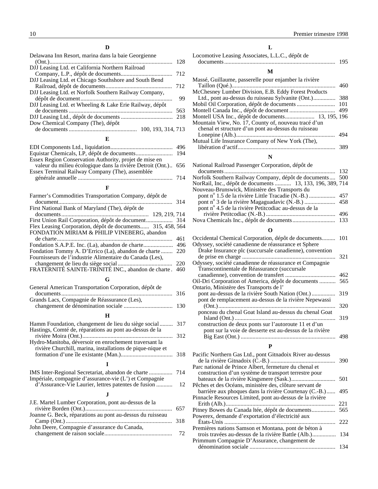| Delawana Inn Resort, marina dans la baie Georgienne     |     |
|---------------------------------------------------------|-----|
|                                                         | 128 |
| DJJ Leasing Ltd. et California Northern Railroad        |     |
|                                                         | 712 |
| DJJ Leasing Ltd. et Chicago Southshore and South Bend   |     |
|                                                         | 712 |
| DJJ Leasing Ltd. et Norfolk Southern Railway Company,   |     |
|                                                         | 99  |
| DJJ Leasing Ltd. et Wheeling & Lake Erie Railway, dépôt |     |
|                                                         | 563 |
|                                                         | 218 |
| Dow Chemical Company (The), dépôt                       |     |
| 100, 193, 314, 713                                      |     |
| Е                                                       |     |

| Essex Region Conservation Authority, projet de mise en         |  |
|----------------------------------------------------------------|--|
| valeur du milieu écologique dans la rivière Detroit (Ont.) 656 |  |
| Essex Terminal Railway Company (The), assemblée                |  |
|                                                                |  |

#### **F**

| Farmer's Commodities Transportation Company, dépôt de      |     |
|------------------------------------------------------------|-----|
|                                                            | 314 |
| First National Bank of Maryland (The), dépôt de            |     |
|                                                            |     |
|                                                            |     |
| Flex Leasing Corporation, dépôt de documents 315, 458, 564 |     |
| FONDATION MIRIAM & PHILIP VINEBERG, abandon                |     |
|                                                            | 461 |
|                                                            | 496 |
| Fondation Tommy A. D'Errico (La), abandon de charte        | 220 |
| Fournisseurs de l'industrie Alimentaire du Canada (Les),   |     |
|                                                            | 220 |
| FRATERNITÉ SAINTE-TRINITÉ INC., abandon de charte.         | 460 |
|                                                            |     |

#### **G**

| General American Transportation Corporation, dépôt de                                                              |     |
|--------------------------------------------------------------------------------------------------------------------|-----|
|                                                                                                                    | 316 |
| Grands Lacs, Compagnie de Réassurance (Les),                                                                       |     |
|                                                                                                                    |     |
|                                                                                                                    |     |
| Hamm Foundation, changement de lieu du siège social 317<br>Hastings, Comté de, réparations au pont au-dessus de la |     |
|                                                                                                                    |     |

| Hydro-Manitoba, déversoir en enrochement traversant la     |  |
|------------------------------------------------------------|--|
| rivière Churchill, marina, installations de pique-nique et |  |
|                                                            |  |
|                                                            |  |
|                                                            |  |

#### IMS Inter-Regional Secretariat, abandon de charte ................ 714 Impériale, compagnie d'assurance-vie (L') et Compagnie d'Assurance-Vie Laurier, lettres patentes de fusion ........... 12 **J** J.E. Martel Lumber Corporation, pont au-dessus de la

| Joanne G. Beck, réparations au pont au-dessus du ruisseau |  |
|-----------------------------------------------------------|--|
|                                                           |  |
| John Deere, Compagnie d'assurance du Canada,              |  |
|                                                           |  |
|                                                           |  |

#### 10 Premier trimestre 1998

|  | ۹ |  |  |
|--|---|--|--|
|  |   |  |  |

| Locomotive Leasing Associates, L.L.C., dépôt de |     |
|-------------------------------------------------|-----|
|                                                 | 195 |

#### **M**

| Massé, Guillaume, passerelle pour enjamber la rivière |     |
|-------------------------------------------------------|-----|
|                                                       | 460 |
| McChesney Lumber Division, E.B. Eddy Forest Products  |     |
|                                                       | 388 |
|                                                       | 101 |
|                                                       | 499 |
|                                                       |     |
| Mountain View, No. 17, County of, nouveau tracé d'un  |     |
| chenal et structure d'un pont au-dessus du ruisseau   |     |
|                                                       | 494 |
| Mutual Life Insurance Company of New York (The),      |     |
|                                                       | 389 |

#### **N**

| National Railroad Passenger Corporation, dépôt de         |  |
|-----------------------------------------------------------|--|
|                                                           |  |
| Norfolk Southern Railway Company, dépôt de documents 500  |  |
| NorRail, Inc., dépôt de documents  13, 133, 196, 389, 714 |  |
| Nouveau-Brunswick, Ministère des Transports du            |  |
|                                                           |  |
|                                                           |  |
| pont nº 4.5 de la rivière Petitcodiac au-dessus de la     |  |
|                                                           |  |
|                                                           |  |
|                                                           |  |

#### **O**

| Occidental Chemical Corporation, dépôt de documents      | 101 |
|----------------------------------------------------------|-----|
| Odyssey, société canadienne de réassurance et Sphere     |     |
| Drake Insurance plc (succursale canadienne), convention  |     |
|                                                          | 321 |
| Odyssey, société canadienne de réassurance et Compagnie  |     |
| Transcontinentale de Réassurance (succursale             |     |
|                                                          | 462 |
| Oil-Dri Corporation of America, dépôt de documents       | 565 |
| Ontario, Ministère des Transports de l'                  |     |
|                                                          | 319 |
| pont de remplacement au-dessus de la rivière Nepewassi   |     |
|                                                          | 320 |
| ponceau du chenal Goat Island au-dessus du chenal Goat   |     |
|                                                          | 319 |
| construction de deux ponts sur l'autoroute 11 et d'un    |     |
| pont sur la voie de desserte est au-dessus de la rivière |     |
|                                                          | 498 |

#### **P**

| Pacific Northern Gas Ltd., pont Gitnadoix River au-dessus |      |
|-----------------------------------------------------------|------|
|                                                           | 390  |
| Parc national de Prince Albert, fermeture du chenal et    |      |
| construction d'un système de transport terrestre pour     |      |
|                                                           | 501  |
| Pêches et des Océans, ministère des, clôture servant de   |      |
| barrière aux phoques dans la rivière Courtenay (C.-B.)    | 495  |
| Pinnacle Resources Limited, pont au-dessus de la rivière  |      |
|                                                           | 22.1 |
|                                                           | 565  |
| Powerex, demande d'exportation d'électricité aux          |      |
|                                                           | 222  |
| Premières nations Samson et Montana, pont de béton à      |      |
| trois travées au-dessus de la rivière Battle (Alb.)       | 134  |
| Primmum Compagnie D'Assurance, changement de              |      |
|                                                           | 134  |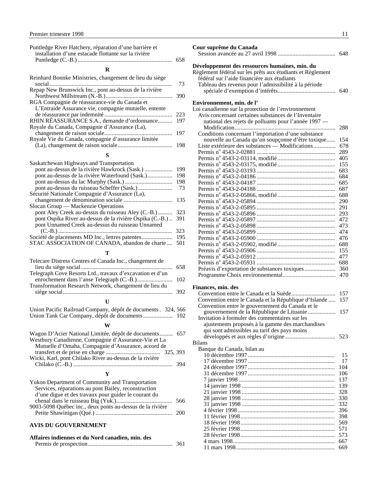<span id="page-12-0"></span>

| Puntledge River Hatchery, réparation d'une barrière et<br>installation d'une estacade flottante sur la rivière | 658 |
|----------------------------------------------------------------------------------------------------------------|-----|
| R                                                                                                              |     |
| Reinhard Bonnke Ministries, changement de lieu du siège                                                        | 73  |
| Repap New Brunswick Inc., pont au-dessus de la rivière                                                         | 390 |
| RGA Compagnie de réassurance-vie du Canada et<br>L'Entraide Assurance vie, compagnie mutuelle, entente         |     |
|                                                                                                                | 223 |
| RHIN RÉASSURANCE S.A., demande d'ordonnance<br>Royale du Canada, Compagnie d'Assurance (La),                   | 197 |
| Royale Vie du Canada, compagnie d'assurance limitée                                                            | 197 |
|                                                                                                                | 198 |
| S                                                                                                              |     |
| Saskatchewan Highways and Transportation                                                                       |     |
|                                                                                                                | 199 |

| 199 |
|-----|
| 198 |
| 198 |
| 73  |
|     |
| 135 |
|     |
| 323 |
| 391 |
|     |
| 323 |
| 195 |
| 501 |
|     |

#### **T**

| Telecare Distress Centres of Canada Inc., changement de   |      |
|-----------------------------------------------------------|------|
|                                                           | -658 |
| Telegraph Cove Resorts Ltd., travaux d'excavation et d'un |      |
|                                                           |      |
| Transformation Research Network, changement de lieu du    |      |
|                                                           |      |
|                                                           |      |
|                                                           |      |

#### Union Pacific Railroad Company, dépôt de documents . 324, 566 Union Tank Car Company, dépôt de documents .................... 102

#### **W**

| Wagon D'Acier National Limitée, dépôt de documents 657  |  |
|---------------------------------------------------------|--|
| Westbury Canadienne, Compagnie d'Assurance-Vie et La    |  |
| Mutuelle d'Omaha, Compagnie d'Assurance, accord de      |  |
|                                                         |  |
| Wicki, Karl, pont Chilako River au-dessus de la rivière |  |
|                                                         |  |
|                                                         |  |

## **Y**

| Yukon Department of Community and Transportation          |  |
|-----------------------------------------------------------|--|
| Services, réparations au pont Bailey, reconstruction      |  |
| d'une digue et des travaux pour guider le courant du      |  |
|                                                           |  |
| 9003-5098 Québec inc., deux ponts au-dessus de la rivière |  |
|                                                           |  |
|                                                           |  |

#### **AVIS DU GOUVERNEMENT**

| Affaires indiennes et du Nord canadien, min. des |      |
|--------------------------------------------------|------|
|                                                  | -361 |

| Cour suprême du Canada                                     |            |
|------------------------------------------------------------|------------|
|                                                            |            |
| Développement des ressources humaines, min. du             |            |
| Règlement fédéral sur les prêts aux étudiants et Règlement |            |
| fédéral sur l'aide financière aux étudiants                |            |
| Tableau des revenus pour l'admissibilité à la période      |            |
|                                                            | 640        |
| Environnement, min. de l'                                  |            |
| Loi canadienne sur la protection de l'environnement        |            |
| Avis concernant certaines substances de l'Inventaire       |            |
| national des rejets de polluants pour l'année 1997 -       |            |
|                                                            | 288        |
| Conditions concernant l'importation d'une substance        |            |
| nouvelle au Canada qu'on soupçonne d'être toxique          | 154        |
| Liste extérieure des substances — Modifications            | 678        |
|                                                            | 289        |
|                                                            | 405        |
|                                                            | 155        |
|                                                            | 683        |
|                                                            | 684        |
|                                                            | 685        |
|                                                            | 687        |
|                                                            | 688        |
|                                                            | 290<br>291 |
|                                                            | 293        |
|                                                            | 472        |
|                                                            | 473        |
|                                                            | 474        |
|                                                            | 476        |
|                                                            | 688        |
|                                                            | 155        |
|                                                            | 477        |
|                                                            | 688        |
| Préavis d'exportation de substances toxiques               | 360        |
|                                                            | 470        |
|                                                            |            |
| Finances min des                                           |            |

#### **Finances, min. des**

|                                                       | 157 |
|-------------------------------------------------------|-----|
| Convention entre le Canada et la République d'Islande | 157 |
| Convention entre le gouvernement du Canada et le      |     |
| gouvernement de la République de Lituanie             | 157 |
| Invitation à formuler des commentaires sur les        |     |
| ajustements proposés à la gamme des marchandises      |     |
| qui sont admissibles au tarif des pays moins          |     |
|                                                       | 523 |
| Bilans                                                |     |
| Banque du Canada, bilan au                            |     |
|                                                       | 15  |
|                                                       | 17  |
|                                                       | 104 |
|                                                       | 106 |
|                                                       | 137 |
|                                                       | 139 |
|                                                       | 328 |
|                                                       | 330 |
|                                                       | 332 |
|                                                       | 396 |
|                                                       | 398 |
|                                                       | 569 |
|                                                       | 571 |
|                                                       | 573 |
|                                                       | 667 |
|                                                       | 669 |
|                                                       |     |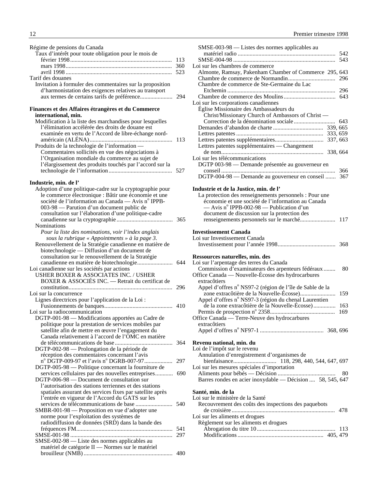| Régime de pensions du Canada                                                                                       |     |
|--------------------------------------------------------------------------------------------------------------------|-----|
| Taux d'intérêt pour toute obligation pour le mois de                                                               |     |
|                                                                                                                    | 113 |
|                                                                                                                    |     |
|                                                                                                                    | 523 |
| Tarif des douanes                                                                                                  |     |
| Invitation à formuler des commentaires sur la proposition<br>d'harmonistation des exigences relatives au transport |     |
|                                                                                                                    |     |
| Finances et des Affaires étrangères et du Commerce                                                                 |     |
| international, min.                                                                                                |     |
| Modification à la liste des marchandises pour lesquelles                                                           |     |
| l'élimination accélérée des droits de douane est                                                                   |     |
| examinée en vertu de l'Accord de libre-échange nord-                                                               |     |
|                                                                                                                    | 113 |
| Produits de la technologie de l'information -                                                                      |     |
| Commentaires sollicités en vue des négociations à                                                                  |     |
| l'Organisation mondiale du commerce au sujet de                                                                    |     |
| l'élargissement des produits touchés par l'accord sur la                                                           |     |
|                                                                                                                    | 527 |
| Industrie, min. de l'                                                                                              |     |
| Adoption d'une politique-cadre sur la cryptographie pour                                                           |     |
| le commerce électronique : Bâtir une économie et une                                                               |     |
| société de l'information au Canada — Avis n° IPPB-                                                                 |     |
| 003-98 — Parution d'un document public de                                                                          |     |
| consultation sur l'élaboration d'une politique-cadre                                                               |     |
|                                                                                                                    |     |
| <b>Nominations</b>                                                                                                 |     |
| Pour la liste des nominations, voir l'index anglais                                                                |     |
| sous la rubrique « Appointments » à la page 3.                                                                     |     |
| Renouvellement de la Stratégie canadienne en matière de                                                            |     |
| biotechnologie - Diffusion d'un document de                                                                        |     |
| consultation sur le renouvellement de la Stratégie                                                                 |     |
|                                                                                                                    |     |
| Loi canadienne sur les sociétés par actions                                                                        |     |
| USHER BOXER & ASSOCIATES INC. / USHER                                                                              |     |
| BOXER & ASSOCIÉS INC. - Retrait du certificat de                                                                   |     |
|                                                                                                                    | 296 |
| Loi sur la concurrence                                                                                             |     |
| Lignes directrices pour l'application de la Loi :                                                                  |     |
|                                                                                                                    | 410 |
| Loi sur la radiocommunication<br>DGTP-001-98 - Modifications apportées au Cadre de                                 |     |
| politique pour la prestation de services mobiles par                                                               |     |
| satellite afin de mettre en œuvre l'engagement du                                                                  |     |
| Canada relativement à l'accord de l'OMC en matière                                                                 |     |
|                                                                                                                    | 364 |
| DGTP-002-98 — Prolongation de la période de                                                                        |     |
| réception des commentaires concernant l'avis                                                                       |     |
| $n^{\circ}$ DGTP-009-97 et l'avis $n^{\circ}$ DGRB-007-97                                                          | 297 |
| DGTP-005-98 — Politique concernant la fourniture de                                                                |     |
| services cellulaires par des nouvelles entreprises                                                                 | 690 |
| DGTP-006-98 — Document de consultation sur                                                                         |     |
| l'autorisation des stations terriennes et des stations                                                             |     |
| spatiales assurant des services fixes par satellite après                                                          |     |
| l'entrée en vigueur de l'Accord du GATS sur les                                                                    |     |
|                                                                                                                    | 540 |
| SMBR-001-98 - Proposition en vue d'adopter une                                                                     |     |
| norme pour l'exploitation des systèmes de                                                                          |     |
| radiodiffusion de données (SRD) dans la bande des                                                                  |     |
|                                                                                                                    | 541 |
|                                                                                                                    | 297 |
| SMSE-002-98 - Liste des normes applicables au                                                                      |     |
| matériel de catégorie II - Normes sur le matériel                                                                  |     |
|                                                                                                                    | 480 |

| SMSE-003-98 - Listes des normes applicables au             |     |
|------------------------------------------------------------|-----|
|                                                            | 542 |
|                                                            | 543 |
| Loi sur les chambres de commerce                           |     |
| Almonte, Ramsay, Pakenham Chamber of Commerce 295, 643     |     |
|                                                            | 296 |
|                                                            |     |
| Chambre de commerce de Ste-Germaine du Lac                 |     |
|                                                            |     |
|                                                            |     |
| Loi sur les corporations canadiennes                       |     |
| Église Missionaire des Ambassadeurs du                     |     |
| Christ/Missionary Church of Ambassors of Christ -          |     |
|                                                            |     |
|                                                            |     |
|                                                            |     |
|                                                            |     |
|                                                            |     |
| Lettres patentes supplémentaires — Changement              |     |
|                                                            |     |
| Loi sur les télécommunications                             |     |
| DGTP 003-98 - Demande présentée au gouverneur en           |     |
|                                                            | 366 |
| DGTP-004-98 — Demande au gouverneur en conseil  367        |     |
|                                                            |     |
|                                                            |     |
| Industrie et de la Justice, min. de l'                     |     |
| La protection des renseignements personnels : Pour une     |     |
| économie et une société de l'information au Canada         |     |
| — Avis n° IPPB-002-98 — Publication d'un                   |     |
| document de discussion sur la protection des               |     |
| renseignements personnels sur le marché 117                |     |
|                                                            |     |
| <b>Investissement Canada</b>                               |     |
| Loi sur Investissement Canada                              |     |
|                                                            |     |
|                                                            | 368 |
|                                                            |     |
| Ressources naturelles, min. des                            |     |
| Loi sur l'arpentage des terres du Canada                   |     |
| Commission d'examinateurs des arpenteurs fédéraux          | 80  |
| Office Canada — Nouvelle-Écosse des hydrocarbures          |     |
|                                                            |     |
|                                                            |     |
| extracôtiers                                               |     |
| Appel d'offres nº NS97-2 (région de l'île de Sable de la   |     |
| zone extracôtière de la Nouvelle-Écosse)                   | 159 |
| Appel d'offres nº NS97-3 (région du chenal Laurentien      |     |
| de la zone extracôtière de la Nouvelle-Écosse)             | 163 |
|                                                            | 169 |
|                                                            |     |
| Office Canada — Terre-Neuve des hydrocarbures              |     |
| extracôtiers                                               |     |
|                                                            |     |
|                                                            |     |
| Revenu national, min. du                                   |     |
| Loi de l'impôt sur le revenu                               |     |
| Annulation d'enregistrement d'organismes de                |     |
|                                                            |     |
|                                                            |     |
| Loi sur les mesures spéciales d'importation                |     |
|                                                            | 80  |
| Barres rondes en acier inoxydable - Décision  58, 545, 647 |     |
|                                                            |     |
| Santé, min. de la                                          |     |
| Loi sur le ministère de la Santé                           |     |
| Recouvrement des coûts des inspections des paquebots       |     |
|                                                            |     |
|                                                            |     |
| Loi sur les aliments et drogues                            |     |
| Règlement sur les aliments et drogues                      |     |
|                                                            |     |
|                                                            |     |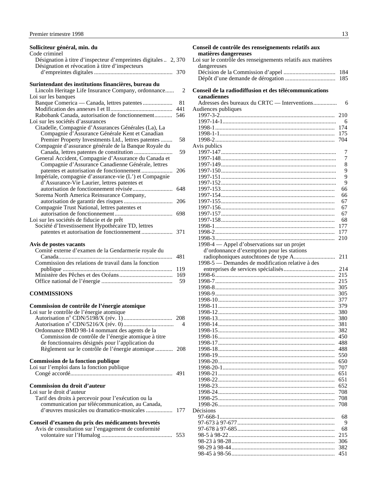#### <span id="page-14-0"></span>**Solliciteur général, min. du**

| Code criminel                                                   |     |
|-----------------------------------------------------------------|-----|
| Désignation à titre d'inspecteur d'empreintes digitales  2, 370 |     |
| Désignation et révocation à titre d'inspecteurs                 |     |
|                                                                 | 370 |
|                                                                 |     |
| Surintendant des institutions financières, bureau du            |     |
| Lincoln Heritage Life Insurance Company, ordonnance             | 2   |
| Loi sur les banques                                             |     |
| Banque Comerica — Canada, lettres patentes                      | 81  |
|                                                                 | 441 |
| Rabobank Canada, autorisation de fonctionnement                 | 546 |
| Loi sur les sociétés d'assurances                               |     |
| Citadelle, Compagnie d'Assurances Générales (La), La            |     |
| Compagnie d'Assurance Générale Kent et Canadian                 |     |
| Premier Property Investments Ltd., lettres patentes             | 58  |
| Compagnie d'assurance générale de la Banque Royale du           |     |
| Canada, lettres patentes de constitution                        | 59  |
| General Accident, Compagnie d'Assurance du Canada et            |     |
| Compagnie d'Assurance Canadienne Générale, lettres              |     |
|                                                                 | 206 |
| Impériale, compagnie d'assurance-vie (L') et Compagnie          |     |
| d'Assurance-Vie Laurier, lettres patentes et                    |     |
|                                                                 | 648 |
| Sorema North America Reinsurance Company,                       |     |
|                                                                 | 206 |
| Compagnie Trust National, lettres patentes et                   |     |
|                                                                 | 698 |
| Loi sur les sociétés de fiducie et de prêt                      |     |
| Société d'Investissement Hypothécaire TD, lettres               |     |
|                                                                 | 371 |
| Avis de postes vacants                                          |     |
| Comité externe d'examen de la Gendarmerie royale du             |     |

| Comité externe d'examen de la Gendarmerie royale du  |  |
|------------------------------------------------------|--|
|                                                      |  |
| Commission des relations de travail dans la fonction |  |
|                                                      |  |
|                                                      |  |
|                                                      |  |
|                                                      |  |

#### **COMMISSIONS**

| Commission de contrôle de l'énergie atomique<br>Loi sur le contrôle de l'énergie atomique |   |
|-------------------------------------------------------------------------------------------|---|
|                                                                                           |   |
|                                                                                           | 4 |
| Ordonnance BMD 98-14 nommant des agents de la                                             |   |
| Commission de contrôle de l'énergie atomique à titre                                      |   |
| de fonctionnaires désignés pour l'application du                                          |   |
| Règlement sur le contrôle de l'énergie atomique  208                                      |   |
| Commission de la fonction publique                                                        |   |
| Loi sur l'emploi dans la fonction publique                                                |   |
|                                                                                           |   |
| Commission du droit d'auteur                                                              |   |
| Loi sur le droit d'auteur                                                                 |   |
| Tarif des droits à percevoir pour l'exécution ou la                                       |   |
| communication par télécommunication, au Canada,                                           |   |
|                                                                                           |   |
| Conseil d'examen du prix des médicaments brevetés                                         |   |
| Avis de consultation sur l'engagement de conformité                                       |   |
|                                                                                           |   |

| Conseil de contrôle des renseignements relatifs aux          |           |
|--------------------------------------------------------------|-----------|
| matières dangereuses                                         |           |
| Loi sur le contrôle des renseignements relatifs aux matières |           |
| dangereuses                                                  |           |
|                                                              | 184       |
|                                                              | 185       |
|                                                              |           |
| Conseil de la radiodiffusion et des télécommunications       |           |
| canadiennes                                                  |           |
| Adresses des bureaux du CRTC — Interventions                 | 6         |
| Audiences publiques                                          |           |
|                                                              | 210       |
|                                                              | 6         |
|                                                              | 174       |
|                                                              | 175       |
|                                                              | 704       |
| Avis publics                                                 |           |
|                                                              | 7<br>7    |
|                                                              | 8         |
|                                                              | 9         |
|                                                              | 9         |
|                                                              | 9         |
|                                                              | 66        |
|                                                              | 66        |
|                                                              | 67        |
|                                                              | 67        |
|                                                              | 67        |
|                                                              | 68        |
|                                                              | 177       |
|                                                              | 177       |
|                                                              | 210       |
|                                                              |           |
|                                                              |           |
| 1998-4 — Appel d'observations sur un projet                  |           |
| d'ordonnance d'exemption pour les stations                   | 211       |
|                                                              |           |
| 1998-5 — Demandes de modification relative à des             | 214       |
|                                                              | 215       |
|                                                              | 215       |
|                                                              | 305       |
|                                                              | 305       |
|                                                              | 377       |
|                                                              | 379       |
|                                                              | 380       |
|                                                              | 380       |
|                                                              | 381       |
|                                                              | 382       |
|                                                              | 450       |
|                                                              | 488       |
|                                                              | 488       |
|                                                              | 550       |
|                                                              | 650       |
|                                                              | 707       |
|                                                              | 651       |
|                                                              | 651       |
|                                                              | 652       |
|                                                              | 708       |
|                                                              | 708       |
|                                                              | 708       |
| Décisions                                                    |           |
|                                                              | 68        |
|                                                              | 9         |
|                                                              | 68<br>215 |

98-23 à 98-28...................................................................... 306 98-29 à 98-44...................................................................... 382 98-45 à 98-56...................................................................... 451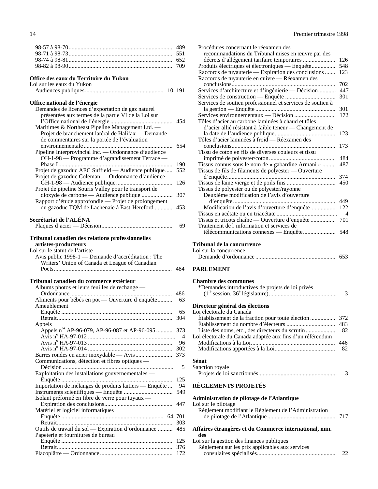<span id="page-15-0"></span>

#### **Office des eaux du Territoire du Yukon**

| Loi sur les eaux du Yukon    |  |
|------------------------------|--|
|                              |  |
| Office national de l'énergie |  |

| Demandes de licences d'exportation de gaz naturel     |     |
|-------------------------------------------------------|-----|
| présentées aux termes de la partie VI de la Loi sur   |     |
|                                                       | 454 |
| Maritimes & Northeast Pipeline Management Ltd. —      |     |
| Projet de branchement latéral de Halifax — Demande    |     |
| de commentaires sur la portée de l'évaluation         |     |
|                                                       | 654 |
| Pipeline Interprovincial Inc. — Ordonnance d'audience |     |
| OH-1-98 — Programme d'agrandissement Terrace —        |     |
|                                                       | 190 |
| Projet de gazoduc AEC Suffield — Audience publique    | 552 |
| Projet de gazoduc Coleman — Ordonnance d'audience     |     |
|                                                       | 126 |
| Projet de pipeline Souris Valley pour le transport de |     |
|                                                       | 307 |
| Rapport d'étude approfondie — Projet de prolongement  |     |
| du gazoduc TQM de Lachenaie à East-Hereford           | 453 |

## **Secrétariat de l'ALÉNA**<br>Plaques d'acier — Décision

| 69 |
|----|
|----|

#### **Tribunal canadien des relations professionnelles**

#### **artistes-producteurs** Loi sur le statut de l'artiste

| Avis public 1998-1 — Demande d'accréditation : The<br>Writers' Union of Canada et League of Canadian |     |
|------------------------------------------------------------------------------------------------------|-----|
|                                                                                                      | 484 |

#### **Tribunal canadien du commerce extérieur**

| Albums photos et leurs feuilles de rechange —            |                |
|----------------------------------------------------------|----------------|
|                                                          | 486            |
| Aliments pour bébés en pot — Ouverture d'enquête         | 63             |
| Ameublement                                              |                |
|                                                          | 65             |
|                                                          | 304            |
| Appels                                                   |                |
| Appels n <sup>os</sup> AP-96-079, AP-96-087 et AP-96-095 | 373            |
|                                                          | $\overline{4}$ |
|                                                          | 96             |
|                                                          | 302            |
|                                                          | 373            |
| Communications, détection et fibres optiques —           |                |
|                                                          | 5              |
| Exploitation des installations gouvernementales -        |                |
|                                                          | 125            |
| Importation de mélanges de produits laitiers — Enquête   | 94             |
|                                                          | 549            |
| Isolant préformé en fibre de verre pour tuyaux —         |                |
|                                                          | 447            |
| Matériel et logiciel informatiques                       |                |
|                                                          |                |
|                                                          | 303            |
| Outils de travail du sol — Expiration d'ordonnance       | 485            |
| Papeterie et fournitures de bureau                       |                |
|                                                          | 125            |
|                                                          | 376            |
|                                                          | 172            |

| Procédures concernant le réexamen des                      |                          |
|------------------------------------------------------------|--------------------------|
| recommandations du Tribunal mises en œuvre par des         |                          |
| décrets d'allégement tarifaire temporaires                 | 126                      |
| Produits électriques et électroniques — Enquête            | 548                      |
| Raccords de tuyauterie — Expiration des conclusions        | 123                      |
| Raccords de tuyauterie en cuivre - Réexamen des            |                          |
| conclusions                                                | 702                      |
| Services d'architecture et d'ingénierie — Décision         | 447                      |
|                                                            | 301                      |
| Services de soutien professionnel et services de soutien à |                          |
|                                                            | 301                      |
|                                                            | 172                      |
| Tôles d'acier au carbone laminées à chaud et tôles         |                          |
| d'acier allié résistant à faible teneur — Changement de    |                          |
|                                                            | 123                      |
| Tôles d'acier laminées à froid — Réexamen des              |                          |
|                                                            | 173                      |
| Tissu de coton en fils de diverses couleurs et tissu       |                          |
|                                                            | 484                      |
| Tissus connus sous le nom de « gabardine Armani »          | 487                      |
| Tissus de fils de filaments de polyester - Ouverture       |                          |
|                                                            | 374                      |
|                                                            | 450                      |
| Tissus de polyester ou de polyester/rayonne                |                          |
| Deuxième modification de l'avis d'ouverture                |                          |
|                                                            | 449                      |
| Modification de l'avis d'ouverture d'enquête               | 122                      |
|                                                            | $\overline{\mathcal{A}}$ |
| Tissus et tricots chaîne — Ouverture d'enquête             | 701                      |
| Traitement de l'information et services de                 |                          |
|                                                            | 548                      |
|                                                            |                          |

#### **Tribunal de la concurrence** cur la co

| Loi sul la concurrence |     |
|------------------------|-----|
|                        | 653 |

#### **PARLEMENT**

| <b>Chambre des communes</b>                      |  |
|--------------------------------------------------|--|
| *Demandes introductives de projets de loi privés |  |
|                                                  |  |
|                                                  |  |

#### **Directeur général des élections** Loi électorale du Canada

| Loi electorale du Canada                                  |  |
|-----------------------------------------------------------|--|
|                                                           |  |
|                                                           |  |
|                                                           |  |
| Loi électorale du Canada adaptée aux fins d'un référendum |  |
|                                                           |  |
|                                                           |  |
|                                                           |  |
|                                                           |  |

#### **Sénat**

| Sanction royale |  |
|-----------------|--|
|                 |  |

### **RÈGLEMENTS PROJETÉS**

### **Administration de pilotage de l'Atlantique**

| Loi sur le pilotage                                  |     |
|------------------------------------------------------|-----|
| Règlement modifiant le Règlement de l'Administration |     |
|                                                      | 717 |

#### **Affaires étrangères et du Commerce international, min. des**

Loi sur la gestion des finances publiques

| $201$ but in gebitoil deb finances publiques    |    |
|-------------------------------------------------|----|
| Règlement sur les prix applicables aux services |    |
|                                                 | 22 |